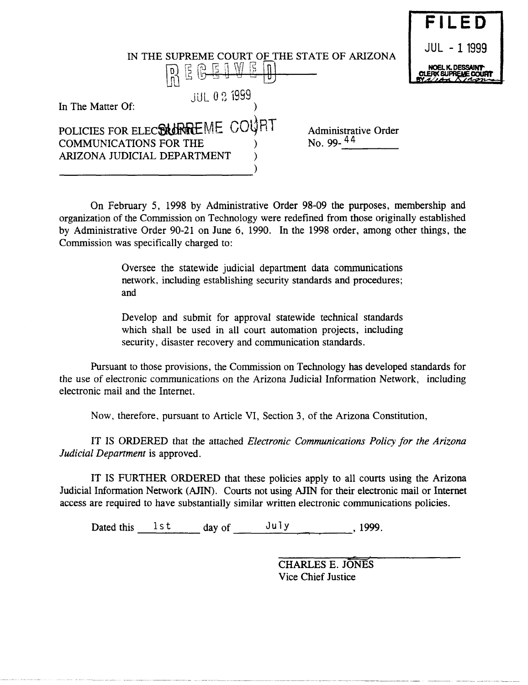|                                                                                                                                         | FILED        |
|-----------------------------------------------------------------------------------------------------------------------------------------|--------------|
| IN THE SUPREME COURT OF THE STATE OF ARIZONA                                                                                            | JUL - 1 1999 |
| -W<br>E  <br>(ပူ<br>(ဟု–<br>гυ                                                                                                          |              |
| <b>JUL 0 2 1999</b><br>In The Matter Of:                                                                                                |              |
| POLICIES FOR ELECTRURREME COURT<br>Administrative Order<br>No. 99- $44$<br><b>COMMUNICATIONS FOR THE</b><br>ARIZONA JUDICIAL DEPARTMENT |              |
|                                                                                                                                         |              |

On February 5, 1998 by Administrative Order 98-09 the purposes, membership and organization of the Commission on Technology were redefined from those originally established by Administrative Order 90-21 on June 6, 1990. In the 1998 order, among other things, the Commission was specifically charged to:

> Oversee the statewide judicial department data communications network, including establishing security standards and procedures; and

> Develop and submit for approval statewide technical standards which shall be used in all court automation projects, including security, disaster recovery and communication standards.

Pursuant to those provisions, the Commission on Technology has developed standards for the use of electronic communications on the Arizona Judicial Information Network, including electronic mail and the Internet.

Now, therefore. pursuant to Article VI, Section 3, of the Arizona Constitution,

IT IS ORDERED that the attached *Electronic Communications Policy for the Arizona Judicial Department* is approved.

IT IS FURTHER ORDERED that these policies apply to all courts using the Arizona Judicial Information Network (AJIN). Courts not using AJIN for their electronic mail or Internet access are required to have substantially similar written electronic communications policies.

Dated this  $\frac{1 \text{st}}{\text{dist}}$  day of  $\frac{\text{July}}{\text{shift}}$ , 1999.

CHARLES E. JONES Vice Chief Justice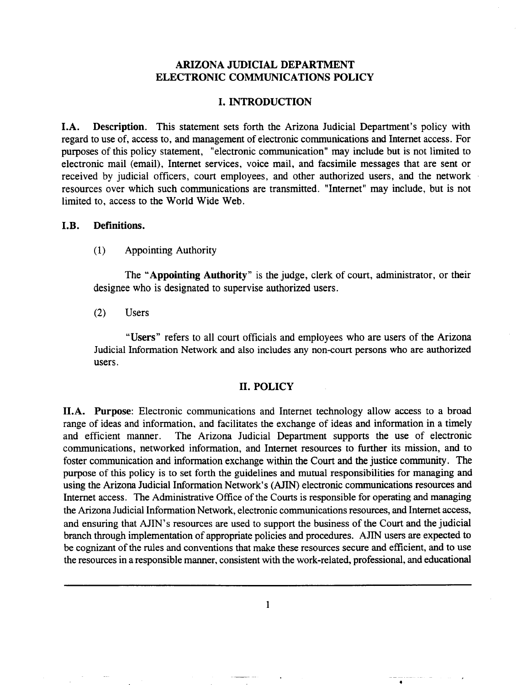#### ARIZONA JUDICIAL DEPARTMENT ELECTRONIC COMMUNICATIONS POLICY

#### I. INTRODUCTION

I.A. Description. This statement sets forth the Arizona Judicial Department's policy with regard to use of, access to, and management of electronic communications and Internet access. For purposes of this policy statement, "electronic communication" may include but is not limited to electronic mail (email), Internet services, voice mail, and facsimile messages that are sent or received by judicial officers, court employees, and other authorized users, and the network resources over which such communications are transmitted. "Internet" may include, but is not limited to, access to the World Wide Web.

#### I.B. Definitions.

(1) Appointing Authority

The "Appointing Authority" is the judge, clerk of court, administrator, or their designee who is designated to supervise authorized users.

(2) Users

"Users" refers to all court officials and employees who are users of the Arizona Judicial Information Network and also includes any non-court persons who are authorized users.

#### II. POLICY

II.A. Purpose: Electronic communications and Internet technology allow access to a broad range of ideas and information, and facilitates the exchange of ideas and information in a timely and efficient manner. The Arizona Judicial Department supports the use of electronic communications, networked information, and Internet resources to further its mission, and to foster communication and information exchange within the Court and the justice community. The purpose of this policy is to set forth the guidelines and mutual responsibilities for managing and using the Arizona Judicial Information Network's (AJIN) electronic communications resources and Internet access. The Administrative Office of the Courts is responsible for operating and managing the Arizona Judicial Information Network, electronic communications resources, and Internet access, and ensuring that AJIN's resources are used to support the business of the Court and the judicial branch through implementation of appropriate policies and procedures. AJIN users are expected to be cognizant of the rules and conventions that make these resources secure and efficient, and to use the resources in a responsible manner, consistent with the work-related, professional, and educational

1

•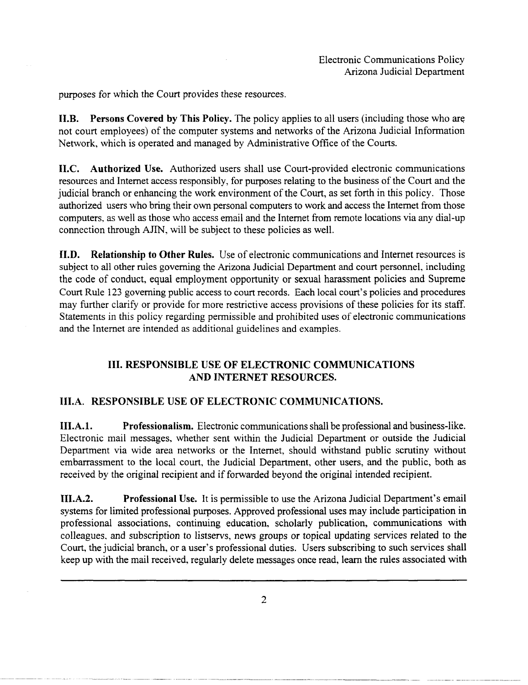purposes for which the Court provides these resources.

II.B. Persons Covered by This Policy. The policy applies to all users (including those who are not court employees) of the computer systems and networks of the Arizona Judicial Information Network, which is operated and managed by Administrative Office of the Courts.

II.C. Authorized Use. Authorized users shall use Court-provided electronic communications resources and Internet access responsibly, for purposes relating to the business of the Court and the judicial branch or enhancing the work environment of the Court, as set forth in this policy. Those authorized users who bring their own personal computers to work and access the Internet from those computers. as well as those who access email and the Internet from remote locations via any dial-up connection through AJIN, will be subject to these policies as well.

II.D. Relationship to Other Rules. Use of electronic communications and Internet resources is subject to all other rules governing the Arizona Judicial Department and court personnel, including the code of conduct, equal employment opportunity or sexual harassment policies and Supreme Court Rule 123 governing public access to court records. Each local court's policies and procedures may further clarify or provide for more restrictive access provisions of these policies for its staff. Statements in this policy regarding permissible and prohibited uses of electronic communications and the Internet are intended as additional guidelines and examples.

## III. RESPONSIBLE USE OF ELECTRONIC COMMUNICATIONS AND INTERNET RESOURCES.

## lILA. RESPONSIBLE USE OF ELECTRONIC COMMUNICATIONS.

III.A.1. Professionalism. Electronic communications shall be professional and business-like. Electronic mail messages. whether sent within the Judicial Department or outside the Judicial Department via wide area networks or the Internet, should withstand public scrutiny without embarrassment to the local court, the Judicial Department, other users, and the public, both as received by the original recipient and if forwarded beyond the original intended recipient.

III.A.2. Professional Use. It is permissible to use the Arizona Judicial Department's email systems for limited professional purposes. Approved professional uses may include participation in professional associations, continuing education, scholarly publication, communications with colleagues. and subscription to listservs, news groups or topical updating services related to the Court, the judicial branch, or a user's professional duties. Users subscribing to such services shall keep up with the mail received, regularly delete messages once read, learn the rules associated with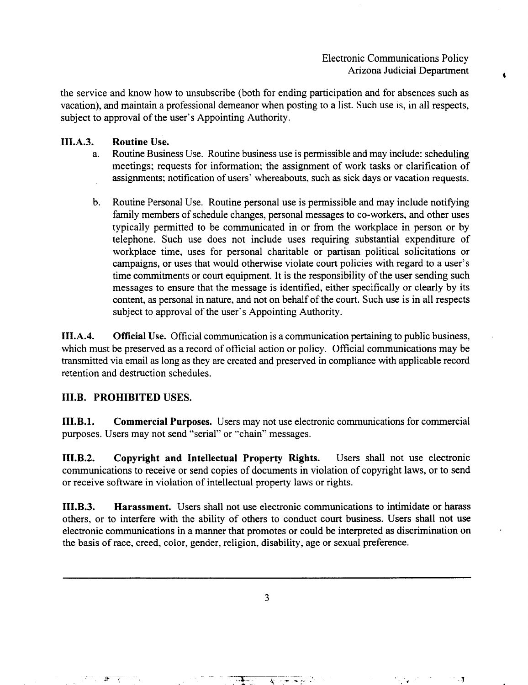Electronic Communications Policy Arizona Judicial Department

the service and know how to unsubscribe (both for ending participation and for absences such as vacation), and maintain a professional demeanor when posting to a list. Such use is, in all respects, subject to approval of the user's Appointing Authority.

#### III.A.3. Routine Use.

- a. Routine Business Use. Routine business use is permissible and may include: scheduling meetings; requests for information; the assignment of work tasks or clarification of assignments; notification of users' whereabouts, such as sick days or vacation requests.
- b. Routine Personal Use. Routine personal use is permissible and may include notifying family members of schedule changes, personal messages to co-workers, and other uses typically permitted to be communicated in or from the workplace in person or by telephone. Such use does not include uses requiring substantial expenditure of workplace time, uses for personal charitable or partisan political solicitations or campaigns, or uses that would otherwise violate court policies with regard to a user's time commitments or court equipment. It is the responsibility of the user sending such messages to ensure that the message is identified, either specifically or clearly by its content, as personal in nature, and not on behalf of the court. Such use is in all respects subject to approval of the user's Appointing Authority.

III.A.4. Official Use. Official communication is a communication pertaining to public business, which must be preserved as a record of official action or policy. Official communications may be transmitted via email as long as they are created and preserved in compliance with applicable record retention and destruction schedules.

#### I1I.B. PROHIBITED USES.

III.B.l. Commercial Purposes. Users may not use electronic communications for commercial purposes. Users may not send "serial" or "chain" messages.

III.B.2. Copyright and Intellectual Property Rights. Users shall not use electronic communications to receive or send copies of documents in violation of copyright laws, or to send or receive software in violation of intellectual property laws or rights.

III.B.3. Harassment. Users shall not use electronic communications to intimidate or harass others, or to interfere with the ability of others to conduct court business. Users shall not use electronic communications in a manner that promotes or could be interpreted as discrimination on the basis of race, creed, color, gender, religion, disability, age or sexual preference.

3

, and the contribution of the contribution  $\mathcal{A}$ 

 $F_{\alpha}$  . The set of the set of the set of the set of the set of the set of the set of the set of the set of the set of the set of the set of the set of the set of the set of the set of the set of the set of the set of th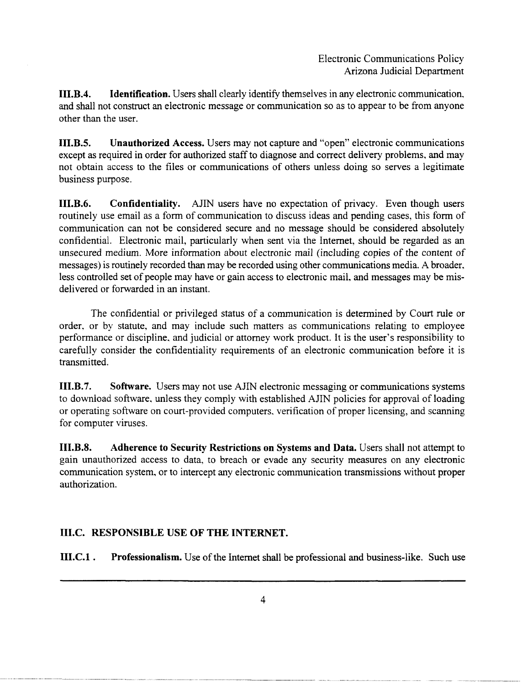III.B.4. Identification. Users shall clearly identify themselves in any electronic communication. and shall not construct an electronic message or communication so as to appear to be from anyone other than the user.

I1I.B.S. Unauthorized Access. Users may not capture and "open" electronic communications except as required in order for authorized staff to diagnose and correct delivery problems. and may not obtain access to the files or communications of others unless doing so serves a legitimate business purpose.

III.B.6. Confidentiality. AJIN users have no expectation of privacy. Even though users routinely use email as a form of communication to discuss ideas and pending cases, this form of communication can not be considered secure and no message should be considered absolutely confidential. Electronic mail, particularly when sent via the Internet, should be regarded as an unsecured medium. More information about electronic mail (including copies of the content of messages) is routinely recorded than may be recorded using other communications media. A broader. less controlled set of people may have or gain access to electronic mail, and messages may be misdelivered or forwarded in an instant.

The confidential or privileged status of a communication is determined by Court rule or order. or by statute, and may include such matters as communications relating to employee performance or discipline. and judicial or attorney work product. It is the user's responsibility to carefully consider the confidentiality requirements of an electronic communication before it is transmitted.

I1I.B.7. Software. Users may not use AJIN electronic messaging or communications systems to download software, unless they comply with established AJIN policies for approval of loading or operating software on court-provided computers. verification of proper licensing, and scanning for computer viruses.

III.B.S. Adherence to Security Restrictions on Systems and Data. Users shall not attempt to gain unauthorized access to data, to breach or evade any security measures on any electronic communication system, or to intercept any electronic communication transmissions without proper authorization.

# III.C. RESPONSIBLE USE OF THE INTERNET.

III.C.l . Professionalism. Use of the Internet shall be professional and business-like. Such use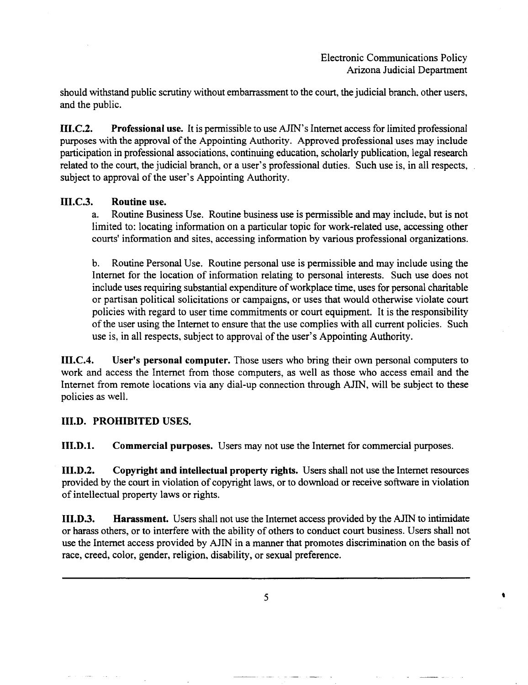should withstand public scrutiny without embarrassment to the court, the judicial branch. other users, and the public.

III.C.2. Professional use. It is permissible to use AJIN's Internet access for limited professional purposes with the approval of the Appointing Authority. Approved professional uses may include participation in professional associations, continuing education, scholarly publication, legal research related to the court, the judicial branch, or a user's professional duties. Such use is, in all respects, subject to approval of the user's Appointing Authority.

#### III.C.3. Routine use.

a. Routine Business Use. Routine business use is permissible and may include. but is not limited to: locating information on a particular topic for work-related use, accessing other courts' information and sites, accessing information by various professional organizations.

b. Routine Personal Use. Routine personal use is permissible and may include using the Internet for the location of information relating to personal interests. Such use does not include uses requiring substantial expenditure of workplace time, uses for personal charitable or partisan political solicitations or campaigns, or uses that would otherwise violate court policies with regard to user time commitments or court equipment. It is the responsibility of the user using the Internet to ensure that the use complies with all current policies. Such use is, in all respects, subject to approval of the user's Appointing Authority.

III.C.4. User's personal computer. Those users who bring their own personal computers to work and access the Internet from those computers, as well as those who access email and the Internet from remote locations via any dial-up connection through AJIN, will be subject to these policies as well.

## III.D. PROHIBITED USES.

III.D.l. Commercial purposes. Users may not use the Internet for commercial purposes.

III.D.2. Copyright and intellectual property rights. Users shall not use the Internet resources provided by the court in violation of copyright laws, or to download or receive software in violation of intellectual property laws or rights.

III.D.3. Harassment. Users shall not use the Internet access provided by the AJIN to intimidate or harass others, or to interfere with the ability of others to conduct court business. Users shall not use the Internet access provided by AJIN in a manner that promotes discrimination on the basis of race, creed, color, gender, religion, disability, or sexual preference.

 $\overline{\phantom{a}}$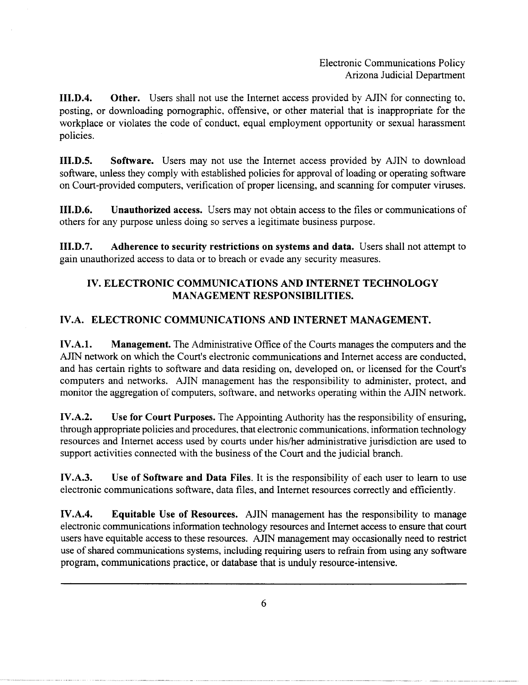III.D.4. Other. Users shall not use the Internet access provided by AJIN for connecting to, posting, or downloading pornographic, offensive, or other material that is inappropriate for the workplace or violates the code of conduct. equal employment opportunity or sexual harassment policies.

III.D.S. Software. Users may not use the Internet access provided by AJIN to download software, unless they comply with established policies for approval of loading or operating software on Court-provided computers, verification of proper licensing, and scanning for computer viruses.

III.D.6. Unauthorized access. Users may not obtain access to the files or communications of others for any purpose unless doing so serves a legitimate business purpose.

III.D.7. Adherence to security restrictions on systems and data. Users shall not attempt to gain unauthorized access to data or to breach or evade any security measures.

# IV. ELECTRONIC COMMUNICATIONS AND INTERNET TECHNOLOGY MANAGEMENT RESPONSIBILITIES.

# IV.A. ELECTRONIC COMMUNICATIONS AND INTERNET MANAGEMENT.

IV.A.I. Management. The Administrative Office of the Courts manages the computers and the AJIN network on which the Court's electronic communications and Internet access are conducted, and has certain rights to software and data residing on, developed on, or licensed for the Court's computers and networks. AJIN management has the responsibility to administer, protect, and monitor the aggregation of computers, software, and networks operating within the AJIN network.

IV.A.2. Use for Court Purposes. The Appointing Authority has the responsibility of ensuring, through appropriate policies and procedures, that electronic communications, information technology resources and Internet access used by courts under his/her administrative jurisdiction are used to support activities connected with the business of the Court and the judicial branch.

IV.A.3. Use of Software and Data Files. It is the responsibility of each user to learn to use electronic communications software, data files, and Internet resources correctly and efficiently.

IV.A.4. Equitable Use of Resources. AJIN management has the responsibility to manage electronic communications information technology resources and Internet access to ensure that court users have equitable access to these resources. AJIN management may occasionally need to restrict use of shared communications systems, including requiring users to refrain from using any software program, communications practice, or database that is unduly resource-intensive.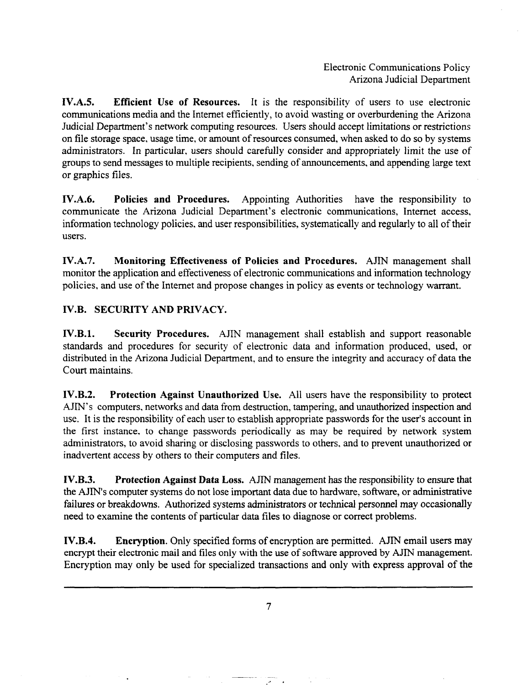IV.A.S. Efficient Use of Resources. It is the responsibility of users to use electronic communications media and the Internet efficiently, to avoid wasting or overburdening the Arizona Judicial Department's network computing resources. Users should accept limitations or restrictions on file storage space, usage time, or amount of resources consumed, when asked to do so by systems administrators. In particular, users should carefully consider and appropriately limit the use of groups to send messages to multiple recipients, sending of announcements, and appending large text or graphics files.

IV.A.6. Policies and Procedures. Appointing Authorities have the responsibility to communicate the Arizona Judicial Department's electronic communications, Internet access, information technology policies. and user responsibilities, systematically and regularly to all of their users.

IV.A.7. Monitoring Effectiveness of Policies and Procedures. AJIN management shall monitor the application and effectiveness of electronic communications and information technology policies, and use of the Internet and propose changes in policy as events or technology warrant.

## IV.B. SECURITY AND PRIVACY.

IV.B.l. Security Procedures. AJIN management shall establish and support reasonable standards and procedures for security of electronic data and information produced, used, or distributed in the Arizona Judicial Department, and to ensure the integrity and accuracy of data the Court maintains.

IV.B.2. Protection Against Unauthorized Use. All users have the responsibility to protect AJIN's computers, networks and data from destruction, tampering, and unauthorized inspection and use. It is the responsibility of each user to establish appropriate passwords for the user's account in the first instance. to change passwords periodically as may be required by network system administrators, to avoid sharing or disclosing passwords to others, and to prevent unauthorized or inadvertent access by others to their computers and files.

IV.B.3. Protection Against Data Loss. AJIN management has the responsibility to ensure that the AJIN's computer systems do not lose important data due to hardware, software, or administrative failures or breakdowns. Authorized systems administrators or technical personnel may occasionally need to examine the contents of particular data files to diagnose or correct problems.

IV.B.4. Encryption. Only specified forms of encryption are permitted. AJIN email users may encrypt their electronic mail and files only with the use of software approved by AJIN management. Encryption may only be used for specialized transactions and only with express approval of the

7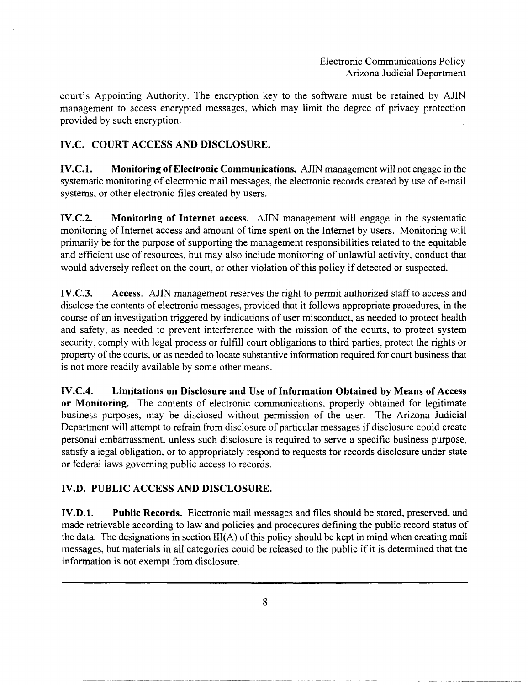court's Appointing Authority. The encryption key to the software must be retained by AJIN management to access encrypted messages, which may limit the degree of privacy protection provided by such encryption.

# IV.C. COURT ACCESS AND DISCLOSURE.

IV.C.l. Monitoring of Electronic Communications. AJIN management will not engage in the systematic monitoring of electronic mail messages, the electronic records created by use of e-mail systems, or other electronic files created by users.

IV.C.2. Monitoring of Internet access. AJIN management will engage in the systematic monitoring of Internet access and amount of time spent on the Internet by users. Monitoring will primarily be for the purpose of supporting the management responsibilities related to the equitable and efficient use of resources, but may also include monitoring of unlawful activity, conduct that would adversely reflect on the court, or other violation of this policy if detected or suspected.

IV.C.3. Access. AJIN management reserves the right to permit authorized staff to access and disclose the contents of electronic messages, provided that it follows appropriate procedures, in the course of an investigation triggered by indications of user misconduct, as needed to protect health and safety, as needed to prevent interference with the mission of the courts, to protect system security, comply with legal process or fulfill court obligations to third parties, protect the rights or property of the courts, or as needed to locate substantive information required for court business that is not more readily available by some other means.

IV.C.4. Limitations on Disclosure and Use of Information Obtained by Means of Access or Monitoring. The contents of electronic communications, properly obtained for legitimate business purposes, may be disclosed without permission of the user. The Arizona Judicial Department will attempt to refrain from disclosure of particular messages if disclosure could create personal embarrassment. unless such disclosure is required to serve a specific business purpose, satisfy a legal obligation, or to appropriately respond to requests for records disclosure under state or federal laws governing public access to records.

# IV.D. PUBLIC ACCESS AND DISCLOSURE.

IV.D.l. Public Records. Electronic mail messages and files should be stored, preserved, and made retrievable according to law and policies and procedures defining the public record status of the data. The designations in section III(A) of this policy should be kept in mind when creating mail messages, but materials in all categories could be released to the public if it is determined that the information is not exempt from disclosure.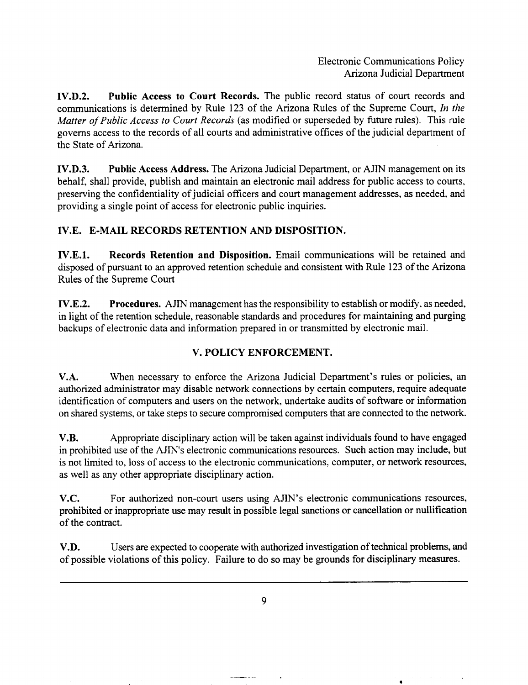•

 $\sim$ 

IV.D.2. Public Access to Court Records. The public record status of court records and communications is detennined by Rule 123 of the Arizona Rules of the Supreme Court, *In the Matter of Public Access to Court Records* (as modified or superseded by future rules). This rule governs access to the records of all courts and administrative offices of the judicial department of the State of Arizona.

IV.D.3. Public Access Address. The Arizona Judicial Department, or AJIN management on its behalf, shall provide, publish and maintain an electronic mail address for public access to courts. preserving the confidentiality of judicial officers and court management addresses, as needed, and providing a single point of access for electronic public inquiries.

#### IV.E. E-MAIL RECORDS RETENTION AND DISPOSITION.

IV.E.l. Records Retention and Disposition. Email communications will be retained and disposed of pursuant to an approved retention schedule and consistent with Rule 123 of the Arizona Rules of the Supreme Court

IV.E.2. Procedures. AJIN management has the responsibility to establish or modify, as needed, in light of the retention schedule, reasonable standards and procedures for maintaining and purging backups of electronic data and information prepared in or transmitted by electronic mail.

## V. POLICY ENFORCEMENT.

V.A. When necessary to enforce the Arizona Judicial Department's rules or policies, an authorized administrator may disable network connections by certain computers, require adequate identification of computers and users on the network, undertake audits of software or information on shared systems, or take steps to secure compromised computers that are connected to the network.

V.B. Appropriate disciplinary action will be taken against individuals found to have engaged in prohibited use of the AJIN's electronic communications resources. Such action may include, but is not limited to, loss of access to the electronic communications, computer, or network resources, as well as any other appropriate disciplinary action.

V.C. For authorized non-court users using AJIN's electronic communications resources, prohibited or inappropriate use may result in possible legal sanctions or cancellation or nullification of the contract.

V.D. Users are expected to cooperate with authorized investigation of technical problems, and of possible violations of this policy. Failure to do so may be grounds for disciplinary measures.

9